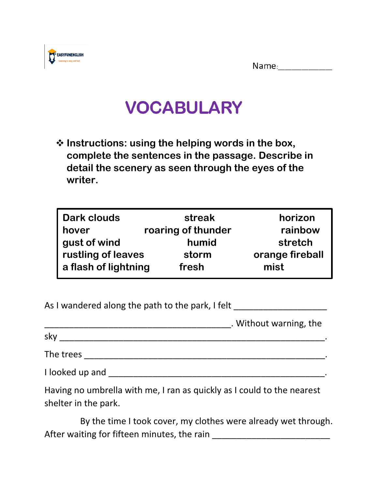Name:\_\_\_\_\_\_\_\_\_\_\_\_\_\_\_



## **VOCABULARY**

❖ **Instructions: using the helping words in the box, complete the sentences in the passage. Describe in detail the scenery as seen through the eyes of the writer.**

| <b>Dark clouds</b>   | streak             | horizon         |
|----------------------|--------------------|-----------------|
| hover                | roaring of thunder | rainbow         |
| gust of wind         | humid              | stretch         |
| rustling of leaves   | storm              | orange fireball |
| a flash of lightning | fresh              | mist            |

| As I wandered along the path to the park, I felt |
|--------------------------------------------------|
|--------------------------------------------------|

sky  $\mathcal{L}_\mathcal{L}$  , and the sky of the sky of the sky of the sky of the sky of the sky of the sky of the sky of the sky of the sky of the sky of the sky of the sky of the sky of the sky of the sky of the sky of the sky o

| ×<br>۰.<br>v. |  |
|---------------|--|
|---------------|--|

The trees \_\_\_\_\_\_\_\_\_\_\_\_\_\_\_\_\_\_\_\_\_\_\_\_\_\_\_\_\_\_\_\_\_\_\_\_\_\_\_\_\_\_\_\_\_\_\_\_\_.

I looked up and \_\_\_\_\_\_\_\_\_\_\_\_\_\_\_\_\_\_\_\_\_\_\_\_\_\_\_\_\_\_\_\_\_\_\_\_\_\_\_\_\_\_\_\_.

Having no umbrella with me, I ran as quickly as I could to the nearest shelter in the park.

 By the time I took cover, my clothes were already wet through. After waiting for fifteen minutes, the rain